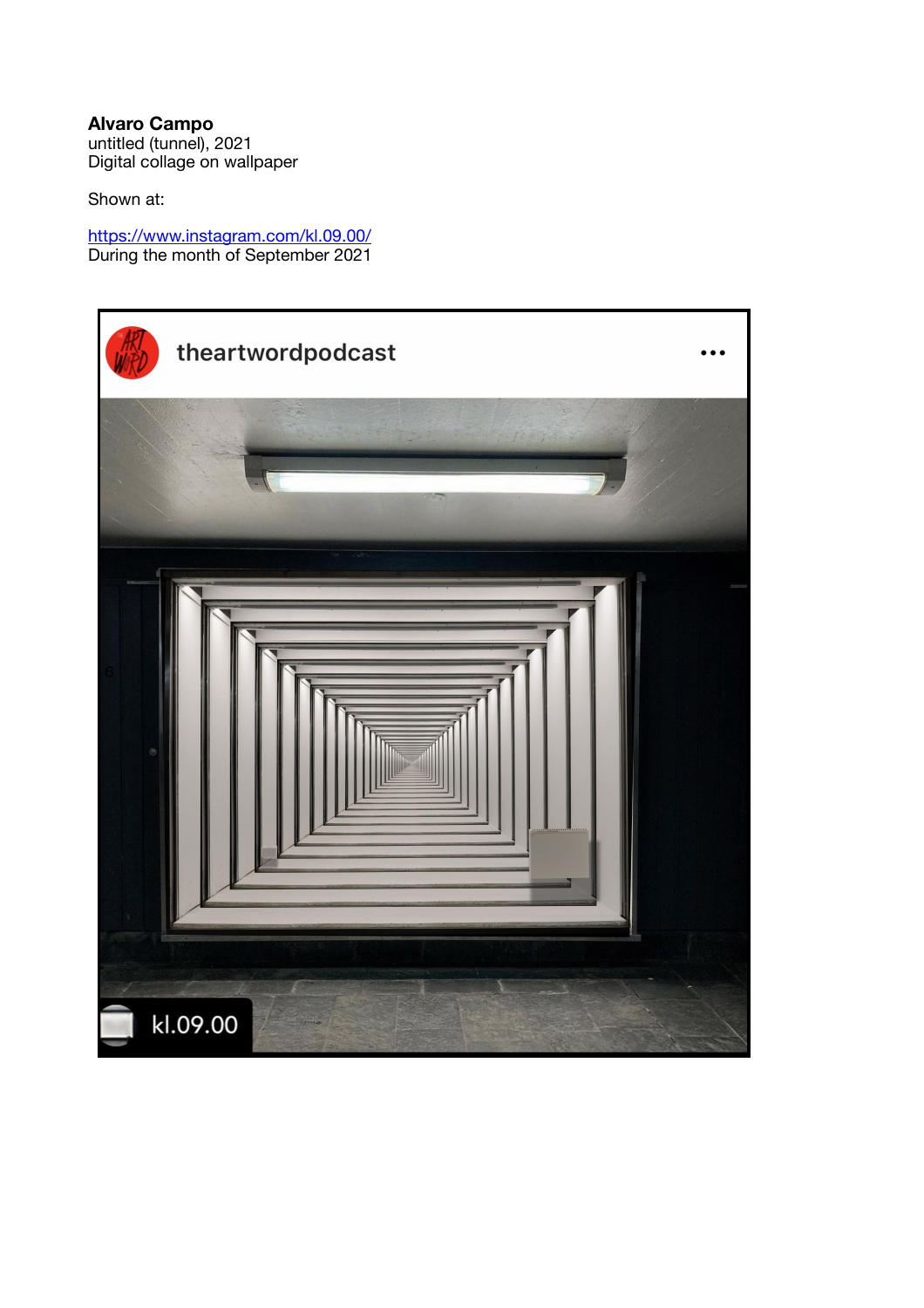**Alvaro Campo**  untitled (tunnel), 2021 Digital collage on wallpaper

Shown at:

<https://www.instagram.com/kl.09.00/> During the month of September 2021